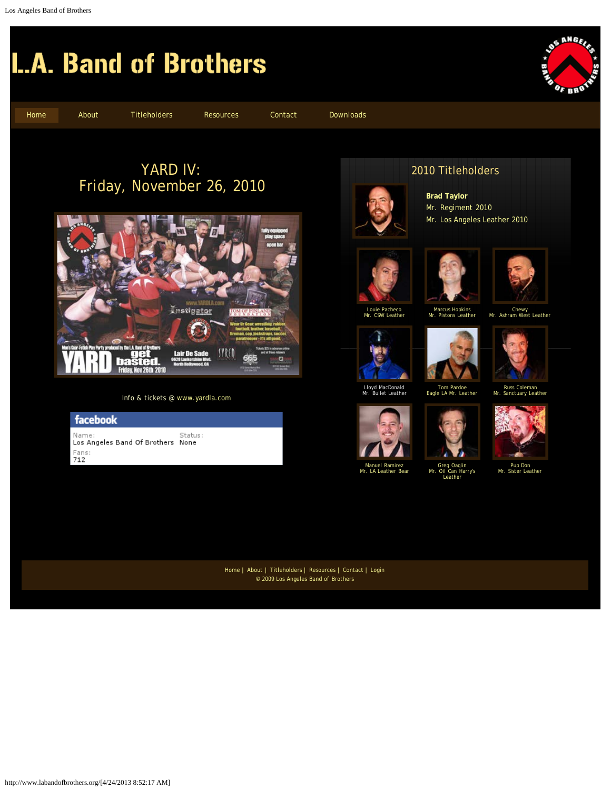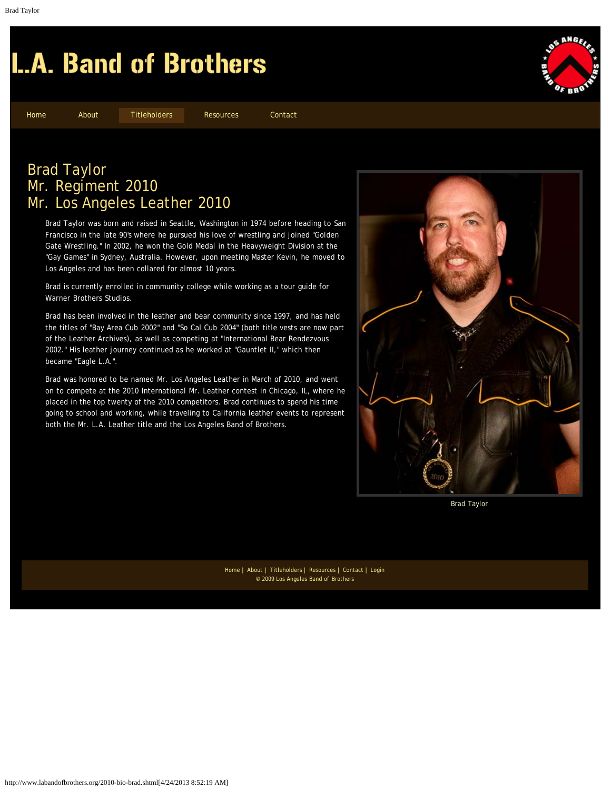<span id="page-1-0"></span>[Home](#page-11-0) [About](#page-12-0) [Titleholders](#page-14-0) [Resources](#page-15-0) [Contact](#page-16-0)

# Brad Taylor Mr. Regiment 2010 Mr. Los Angeles Leather 2010

Brad Taylor was born and raised in Seattle, Washington in 1974 before heading to San Francisco in the late 90's where he pursued his love of wrestling and joined "Golden Gate Wrestling." In 2002, he won the Gold Medal in the Heavyweight Division at the "Gay Games" in Sydney, Australia. However, upon meeting Master Kevin, he moved to Los Angeles and has been collared for almost 10 years.

Brad is currently enrolled in community college while working as a tour guide for Warner Brothers Studios.

Brad has been involved in the leather and bear community since 1997, and has held the titles of "Bay Area Cub 2002" and "So Cal Cub 2004" (both title vests are now part of the Leather Archives), as well as competing at "International Bear Rendezvous 2002." His leather journey continued as he worked at "Gauntlet II," which then became "Eagle L.A.".

Brad was honored to be named Mr. Los Angeles Leather in March of 2010, and went on to compete at the 2010 International Mr. Leather contest in Chicago, IL, where he placed in the top twenty of the 2010 competitors. Brad continues to spend his time going to school and working, while traveling to California leather events to represent both the Mr. L.A. Leather title and the Los Angeles Band of Brothers.



Brad Taylor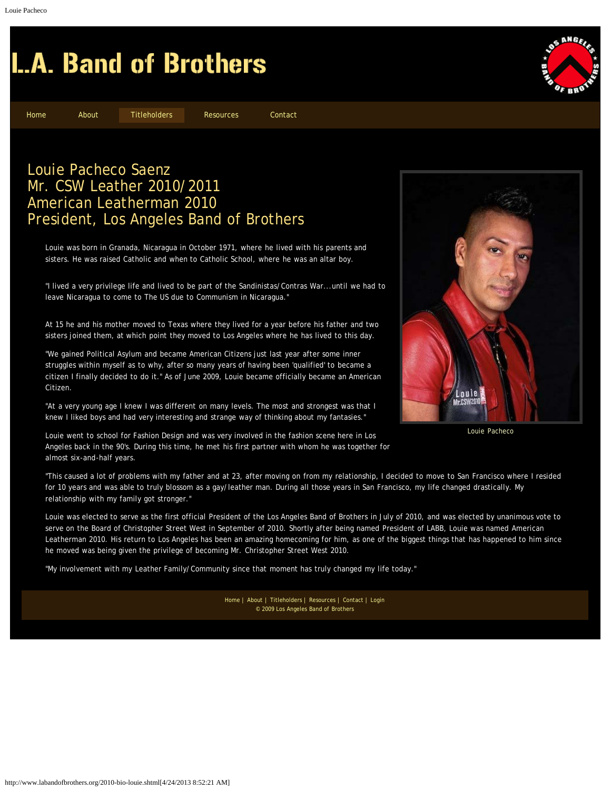<span id="page-2-0"></span>[Home](#page-11-0) [About](#page-12-0) [Titleholders](#page-14-0) [Resources](#page-15-0) [Contact](#page-16-0)

# Louie Pacheco Saenz Mr. CSW Leather 2010/2011 American Leatherman 2010 President, Los Angeles Band of Brothers

Louie was born in Granada, Nicaragua in October 1971, where he lived with his parents and sisters. He was raised Catholic and when to Catholic School, where he was an altar boy.

"I lived a very privilege life and lived to be part of the Sandinistas/Contras War...until we had to leave Nicaragua to come to The US due to Communism in Nicaragua."

At 15 he and his mother moved to Texas where they lived for a year before his father and two sisters joined them, at which point they moved to Los Angeles where he has lived to this day.

"We gained Political Asylum and became American Citizens just last year after some inner struggles within myself as to why, after so many years of having been 'qualified' to became a citizen I finally decided to do it." As of June 2009, Louie became officially became an American Citizen.

"At a very young age I knew I was different on many levels. The most and strongest was that I knew I liked boys and had very interesting and strange way of thinking about my fantasies."



Louie Pacheco

Louie went to school for Fashion Design and was very involved in the fashion scene here in Los Angeles back in the 90's. During this time, he met his first partner with whom he was together for almost six-and-half years.

"This caused a lot of problems with my father and at 23, after moving on from my relationship, I decided to move to San Francisco where I resided for 10 years and was able to truly blossom as a gay/leather man. During all those years in San Francisco, my life changed drastically. My relationship with my family got stronger."

Louie was elected to serve as the first official President of the Los Angeles Band of Brothers in July of 2010, and was elected by unanimous vote to serve on the Board of Christopher Street West in September of 2010. Shortly after being named President of LABB, Louie was named American Leatherman 2010. His return to Los Angeles has been an amazing homecoming for him, as one of the biggest things that has happened to him since he moved was being given the privilege of becoming Mr. Christopher Street West 2010.

"My involvement with my Leather Family/Community since that moment has truly changed my life today."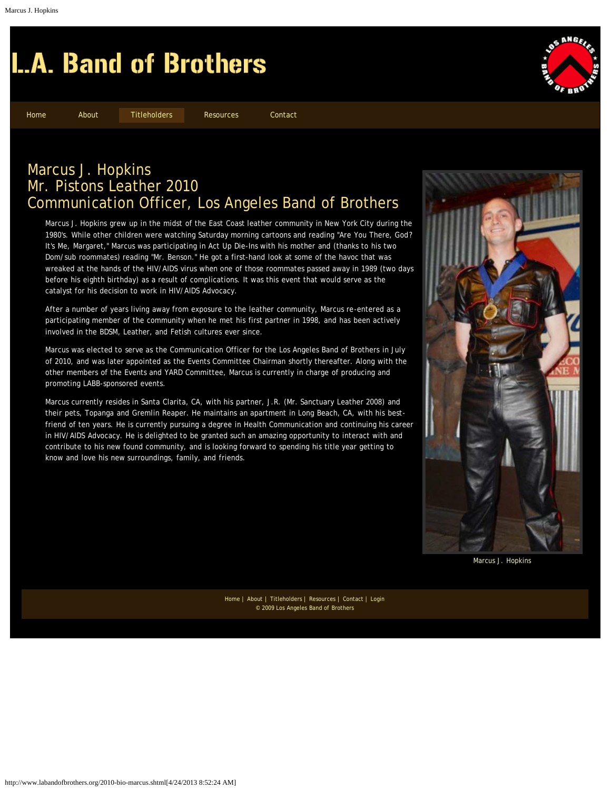<span id="page-3-0"></span>[Home](#page-11-0) [About](#page-12-0) [Titleholders](#page-14-0) [Resources](#page-15-0) [Contact](#page-16-0)

# Marcus J. Hopkins Mr. Pistons Leather 2010 Communication Officer, Los Angeles Band of Brothers

Marcus J. Hopkins grew up in the midst of the East Coast leather community in New York City during the 1980's. While other children were watching Saturday morning cartoons and reading "Are You There, God? It's Me, Margaret," Marcus was participating in Act Up Die-Ins with his mother and (thanks to his two Dom/sub roommates) reading "Mr. Benson." He got a first-hand look at some of the havoc that was wreaked at the hands of the HIV/AIDS virus when one of those roommates passed away in 1989 (two days before his eighth birthday) as a result of complications. It was this event that would serve as the catalyst for his decision to work in HIV/AIDS Advocacy.

After a number of years living away from exposure to the leather community, Marcus re-entered as a participating member of the community when he met his first partner in 1998, and has been actively involved in the BDSM, Leather, and Fetish cultures ever since.

Marcus was elected to serve as the Communication Officer for the Los Angeles Band of Brothers in July of 2010, and was later appointed as the Events Committee Chairman shortly thereafter. Along with the other members of the Events and YARD Committee, Marcus is currently in charge of producing and promoting LABB-sponsored events.

Marcus currently resides in Santa Clarita, CA, with his partner, J.R. (Mr. Sanctuary Leather 2008) and their pets, Topanga and Gremlin Reaper. He maintains an apartment in Long Beach, CA, with his bestfriend of ten years. He is currently pursuing a degree in Health Communication and continuing his career in HIV/AIDS Advocacy. He is delighted to be granted such an amazing opportunity to interact with and contribute to his new found community, and is looking forward to spending his title year getting to know and love his new surroundings, family, and friends.



Marcus J. Hopkins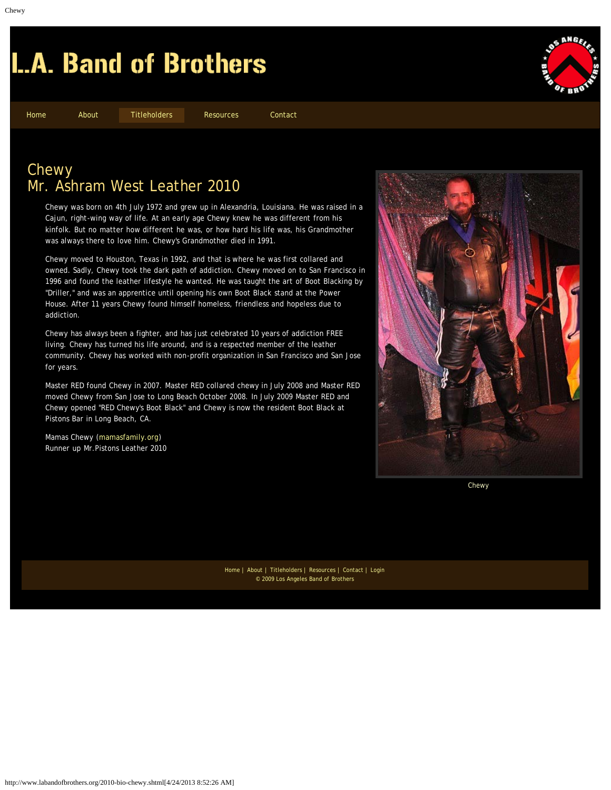<span id="page-4-0"></span>[Home](#page-11-0) [About](#page-12-0) [Titleholders](#page-14-0) [Resources](#page-15-0) [Contact](#page-16-0)

# Chewy Mr. Ashram West Leather 2010

Chewy was born on 4th July 1972 and grew up in Alexandria, Louisiana. He was raised in a Cajun, right-wing way of life. At an early age Chewy knew he was different from his kinfolk. But no matter how different he was, or how hard his life was, his Grandmother was always there to love him. Chewy's Grandmother died in 1991.

Chewy moved to Houston, Texas in 1992, and that is where he was first collared and owned. Sadly, Chewy took the dark path of addiction. Chewy moved on to San Francisco in 1996 and found the leather lifestyle he wanted. He was taught the art of Boot Blacking by "Driller," and was an apprentice until opening his own Boot Black stand at the Power House. After 11 years Chewy found himself homeless, friendless and hopeless due to addiction.

Chewy has always been a fighter, and has just celebrated 10 years of addiction FREE living. Chewy has turned his life around, and is a respected member of the leather community. Chewy has worked with non-profit organization in San Francisco and San Jose for years.

Master RED found Chewy in 2007. Master RED collared chewy in July 2008 and Master RED moved Chewy from San Jose to Long Beach October 2008. In July 2009 Master RED and Chewy opened "RED Chewy's Boot Black" and Chewy is now the resident Boot Black at Pistons Bar in Long Beach, CA.

Mamas Chewy [\(mamasfamily.org](http://mamasfamily.org/)) Runner up Mr.Pistons Leather 2010



Chewy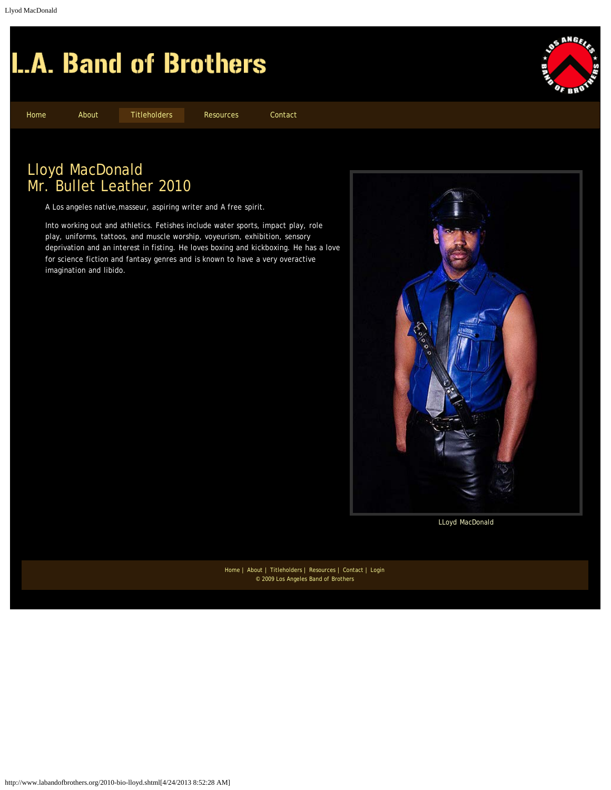[Home](#page-11-0) [About](#page-12-0) [Titleholders](#page-14-0) [Resources](#page-15-0) [Contact](#page-16-0)

# Lloyd MacDonald Mr. Bullet Leather 2010

A Los angeles native,masseur, aspiring writer and A free spirit.

Into working out and athletics. Fetishes include water sports, impact play, role play, uniforms, tattoos, and muscle worship, voyeurism, exhibition, sensory deprivation and an interest in fisting. He loves boxing and kickboxing. He has a love for science fiction and fantasy genres and is known to have a very overactive imagination and libido.



LLoyd MacDonald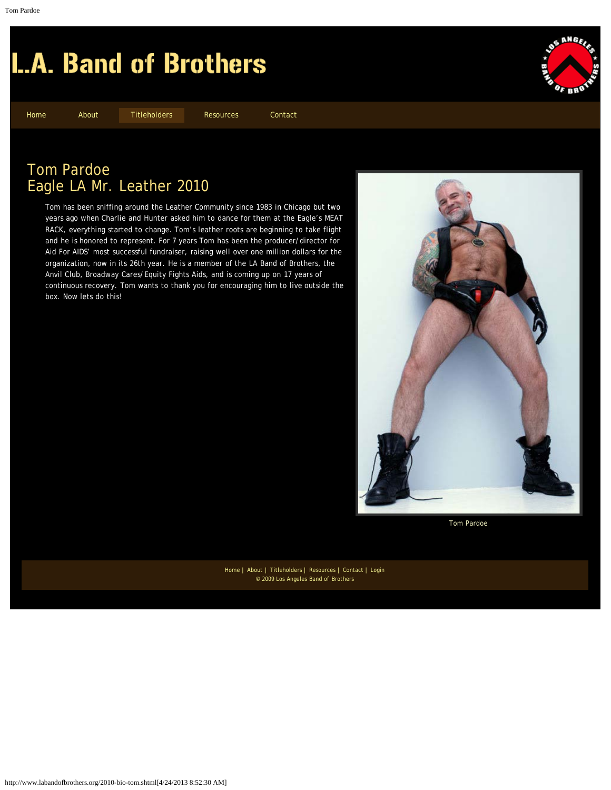[Home](#page-11-0) [About](#page-12-0) [Titleholders](#page-14-0) [Resources](#page-15-0) [Contact](#page-16-0)

# Tom Pardoe Eagle LA Mr. Leather 2010

Tom has been sniffing around the Leather Community since 1983 in Chicago but two years ago when Charlie and Hunter asked him to dance for them at the Eagle's MEAT RACK, everything started to change. Tom's leather roots are beginning to take flight and he is honored to represent. For 7 years Tom has been the producer/director for Aid For AIDS' most successful fundraiser, raising well over one million dollars for the organization, now in its 26th year. He is a member of the LA Band of Brothers, the Anvil Club, Broadway Cares/Equity Fights Aids, and is coming up on 17 years of continuous recovery. Tom wants to thank you for encouraging him to live outside the box. Now lets do this!



Tom Pardoe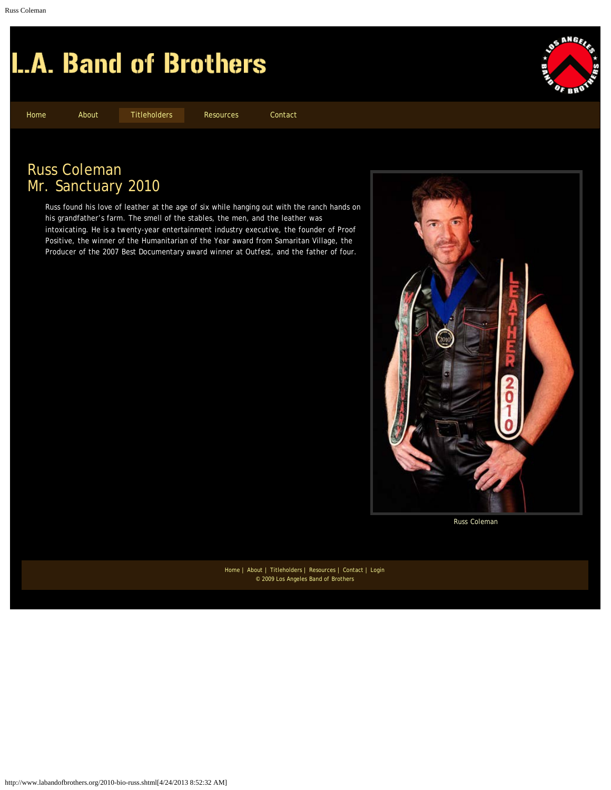[Home](#page-11-0) [About](#page-12-0) [Titleholders](#page-14-0) [Resources](#page-15-0) [Contact](#page-16-0)

# Russ Coleman Mr. Sanctuary 2010

Russ found his love of leather at the age of six while hanging out with the ranch hands on his grandfather's farm. The smell of the stables, the men, and the leather was intoxicating. He is a twenty-year entertainment industry executive, the founder of Proof Positive, the winner of the Humanitarian of the Year award from Samaritan Village, the Producer of the 2007 Best Documentary award winner at Outfest, and the father of four.



Russ Coleman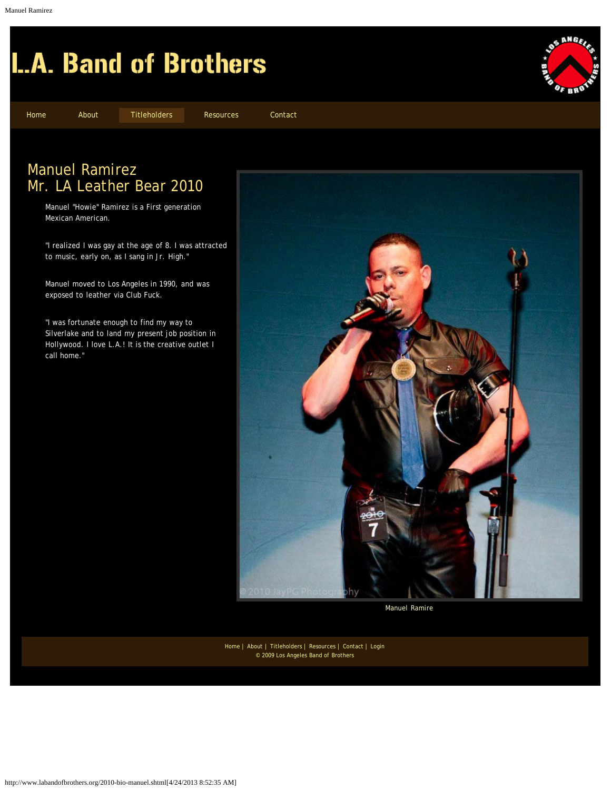

[Home](#page-11-0) [About](#page-12-0) [Titleholders](#page-14-0) [Resources](#page-15-0) [Contact](#page-16-0)

# Manuel Ramirez Mr. LA Leather Bear 2010

Manuel "Howie" Ramirez is a First generation Mexican American.

"I realized I was gay at the age of 8. I was attracted to music, early on, as I sang in Jr. High."

Manuel moved to Los Angeles in 1990, and was exposed to leather via Club Fuck.

"I was fortunate enough to find my way to Silverlake and to land my present job position in Hollywood. I love L.A.! It is the creative outlet I call home."



Manuel Ramire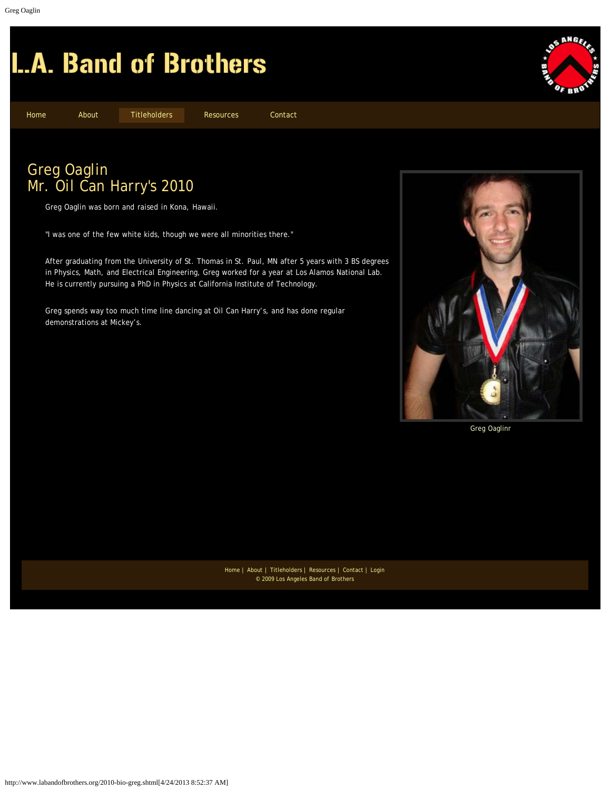

[Home](#page-11-0) [About](#page-12-0) [Titleholders](#page-14-0) [Resources](#page-15-0) [Contact](#page-16-0)

# Greg Oaglin Mr. Oil Can Harry's 2010

Greg Oaglin was born and raised in Kona, Hawaii.

"I was one of the few white kids, though we were all minorities there."

After graduating from the University of St. Thomas in St. Paul, MN after 5 years with 3 BS degrees in Physics, Math, and Electrical Engineering, Greg worked for a year at Los Alamos National Lab. He is currently pursuing a PhD in Physics at California Institute of Technology.

Greg spends way too much time line dancing at Oil Can Harry's, and has done regular demonstrations at Mickey's.



Greg Oaglinr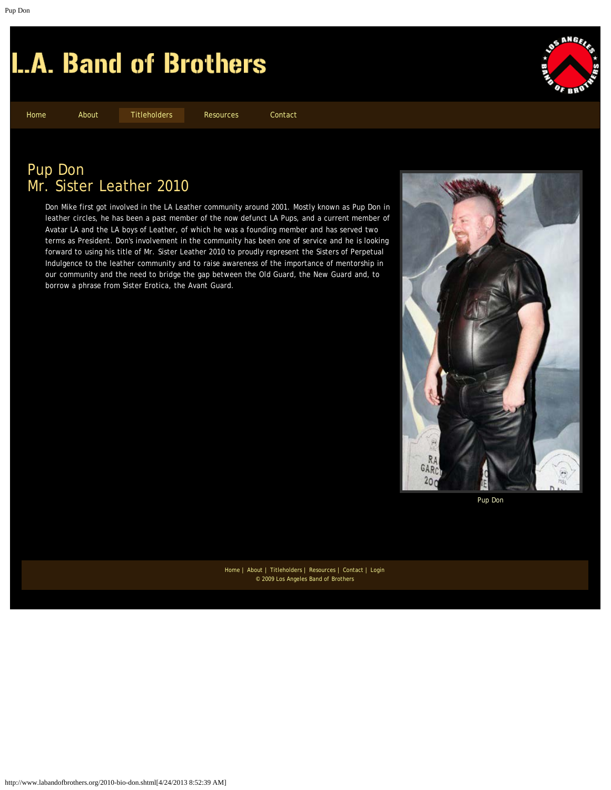[Home](#page-11-0) [About](#page-12-0) [Titleholders](#page-14-0) [Resources](#page-15-0) [Contact](#page-16-0)

# Pup Don Mr. Sister Leather 2010

Don Mike first got involved in the LA Leather community around 2001. Mostly known as Pup Don in leather circles, he has been a past member of the now defunct LA Pups, and a current member of Avatar LA and the LA boys of Leather, of which he was a founding member and has served two terms as President. Don's involvement in the community has been one of service and he is looking forward to using his title of Mr. Sister Leather 2010 to proudly represent the Sisters of Perpetual Indulgence to the leather community and to raise awareness of the importance of mentorship in our community and the need to bridge the gap between the Old Guard, the New Guard and, to borrow a phrase from Sister Erotica, the Avant Guard.



Pup Don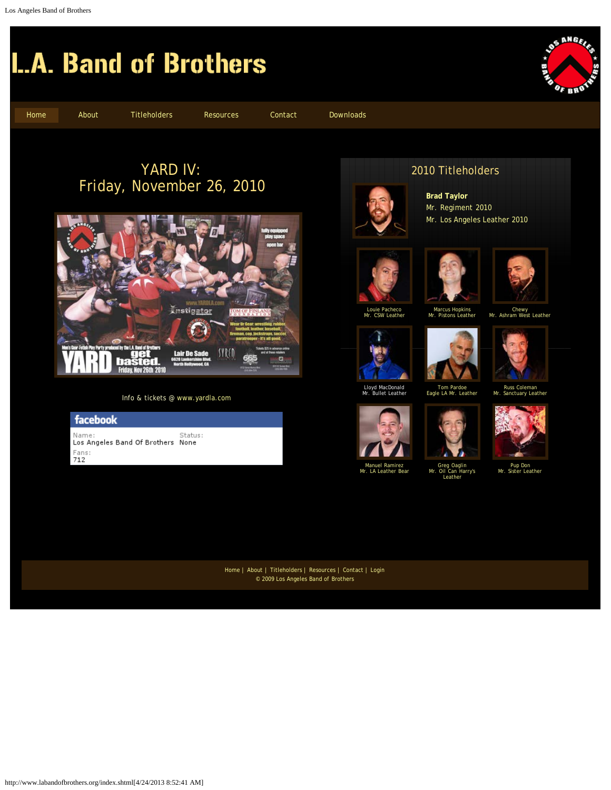<span id="page-11-0"></span>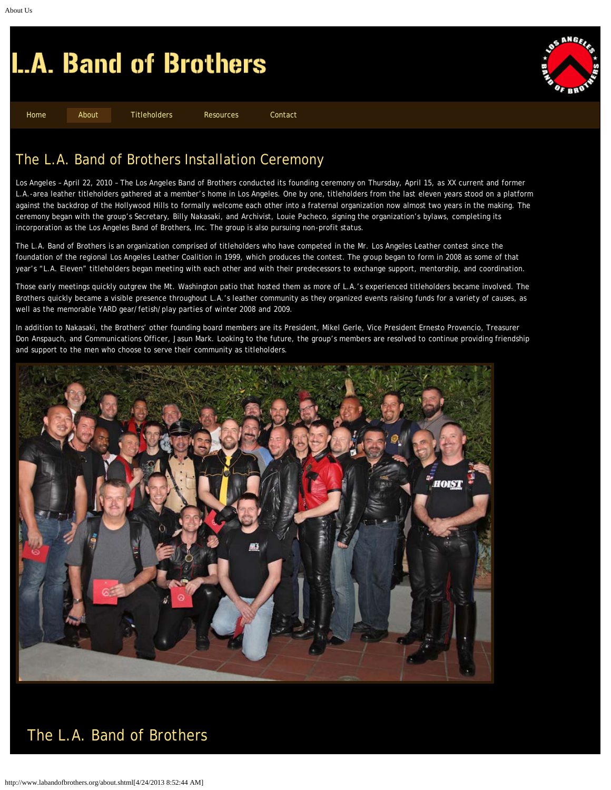

<span id="page-12-0"></span>[Home](#page-11-0) [About](#page-12-0) [Titleholders](#page-14-0) [Resources](#page-15-0) [Contact](#page-16-0)

# The L.A. Band of Brothers Installation Ceremony

Los Angeles – April 22, 2010 – The Los Angeles Band of Brothers conducted its founding ceremony on Thursday, April 15, as XX current and former L.A.-area leather titleholders gathered at a member's home in Los Angeles. One by one, titleholders from the last eleven years stood on a platform against the backdrop of the Hollywood Hills to formally welcome each other into a fraternal organization now almost two years in the making. The ceremony began with the group's Secretary, Billy Nakasaki, and Archivist, Louie Pacheco, signing the organization's bylaws, completing its incorporation as the Los Angeles Band of Brothers, Inc. The group is also pursuing non-profit status.

The L.A. Band of Brothers is an organization comprised of titleholders who have competed in the Mr. Los Angeles Leather contest since the foundation of the regional Los Angeles Leather Coalition in 1999, which produces the contest. The group began to form in 2008 as some of that year's "L.A. Eleven" titleholders began meeting with each other and with their predecessors to exchange support, mentorship, and coordination.

Those early meetings quickly outgrew the Mt. Washington patio that hosted them as more of L.A.'s experienced titleholders became involved. The Brothers quickly became a visible presence throughout L.A.'s leather community as they organized events raising funds for a variety of causes, as well as the memorable YARD gear/fetish/play parties of winter 2008 and 2009.

In addition to Nakasaki, the Brothers' other founding board members are its President, Mikel Gerle, Vice President Ernesto Provencio, Treasurer Don Anspauch, and Communications Officer, Jasun Mark. Looking to the future, the group's members are resolved to continue providing friendship and support to the men who choose to serve their community as titleholders.



# The L.A. Band of Brothers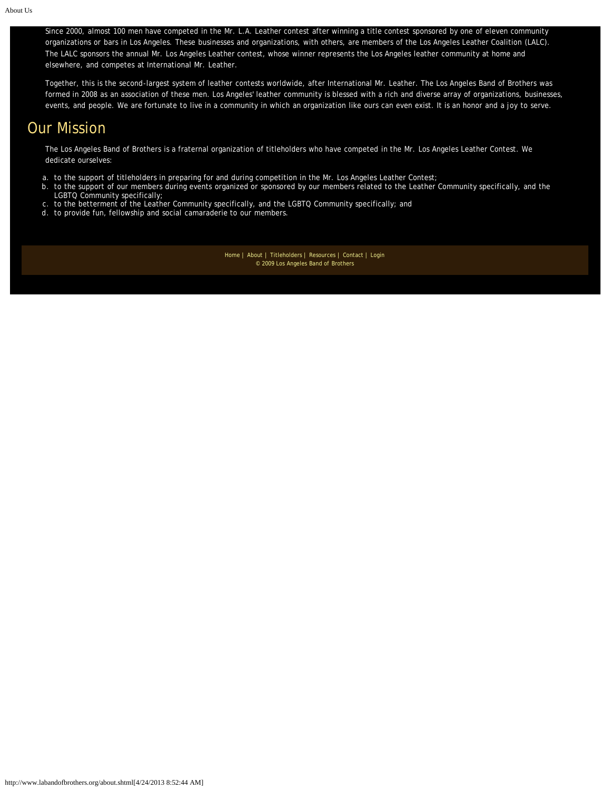Since 2000, almost 100 men have competed in the Mr. L.A. Leather contest after winning a title contest sponsored by one of eleven community organizations or bars in Los Angeles. These businesses and organizations, with others, are members of the Los Angeles Leather Coalition (LALC). The LALC sponsors the annual Mr. Los Angeles Leather contest, whose winner represents the Los Angeles leather community at home and elsewhere, and competes at International Mr. Leather.

Together, this is the second-largest system of leather contests worldwide, after International Mr. Leather. The Los Angeles Band of Brothers was formed in 2008 as an association of these men. Los Angeles' leather community is blessed with a rich and diverse array of organizations, businesses, events, and people. We are fortunate to live in a community in which an organization like ours can even exist. It is an honor and a joy to serve.

# Our Mission

The Los Angeles Band of Brothers is a fraternal organization of titleholders who have competed in the Mr. Los Angeles Leather Contest. We dedicate ourselves:

- a. to the support of titleholders in preparing for and during competition in the Mr. Los Angeles Leather Contest;
- b. to the support of our members during events organized or sponsored by our members related to the Leather Community specifically, and the LGBTQ Community specifically;
- c. to the betterment of the Leather Community specifically, and the LGBTQ Community specifically; and
- d. to provide fun, fellowship and social camaraderie to our members.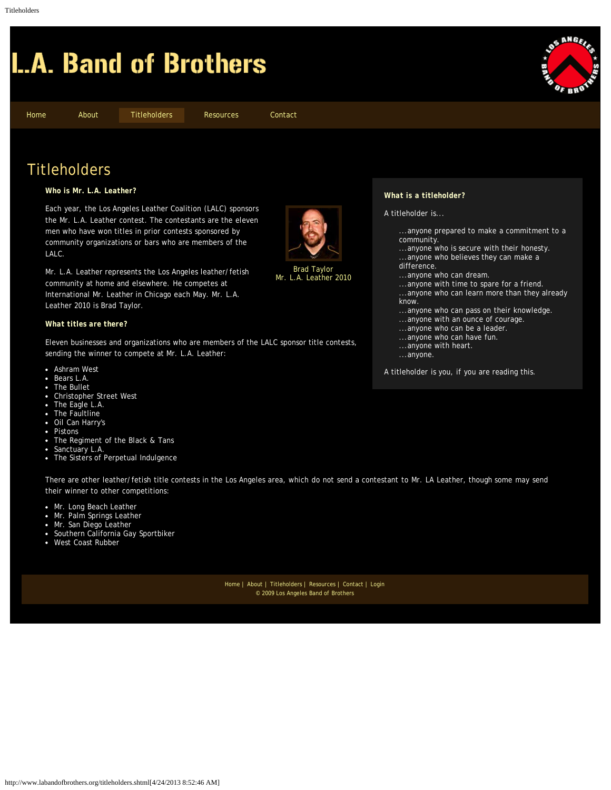

<span id="page-14-0"></span>[Home](#page-11-0) [About](#page-12-0) [Titleholders](#page-14-0) [Resources](#page-15-0) [Contact](#page-16-0)

# **Titleholders**

#### *Who is Mr. L.A. Leather?*

Each year, the Los Angeles Leather Coalition (LALC) sponsors the Mr. L.A. Leather contest. The contestants are the eleven men who have won titles in prior contests sponsored by community organizations or bars who are members of the LALC.



[Mr. L.A. Leather 2010](#page-1-0)

Mr. L.A. Leather represents the Los Angeles leather/fetish community at home and elsewhere. He competes at International Mr. Leather in Chicago each May. Mr. L.A. Leather 2010 is Brad Taylor.

#### *What titles are there?*

Eleven businesses and organizations who are members of the LALC sponsor title contests, sending the winner to compete at Mr. L.A. Leather:

- Ashram West
- $\bullet$ Bears L.A.
- The Bullet
- Christopher Street West  $\bullet$
- The Eagle L.A. ×
- $\bullet$ The Faultline
- Oil Can Harry's  $\bullet$ Pistons
- The Regiment of the Black & Tans
- Sanctuary L.A.  $\bullet$
- The Sisters of Perpetual Indulgence

There are other leather/fetish title contests in the Los Angeles area, which do not send a contestant to Mr. LA Leather, though some may send their winner to other competitions:

- Mr. Long Beach Leather
- Mr. Palm Springs Leather
- Mr. San Diego Leather  $\bullet$
- Southern California Gay Sportbiker
- West Coast Rubber

[Home](#page-11-0) | [About](#page-12-0) | [Titleholders](#page-14-0) | [Resources](#page-15-0) | [Contact](#page-16-0) | [Login](http://mail.google.com/a/labrothers.org/) © 2009 Los Angeles Band of Brothers

#### *What is a titleholder?*

A titleholder is...

...anyone prepared to make a commitment to a community.

- ...anyone who is secure with their honesty. ..anyone who believes they can make a difference.
- ...anyone who can dream.

...anyone with time to spare for a friend. ...anyone who can learn more than they already

know.

- ...anyone who can pass on their knowledge.
- ...anyone with an ounce of courage.
- ...anyone who can be a leader.
- ...anyone who can have fun.
- ...anyone with heart.
- ...anyone.

A titleholder is you, if you are reading this.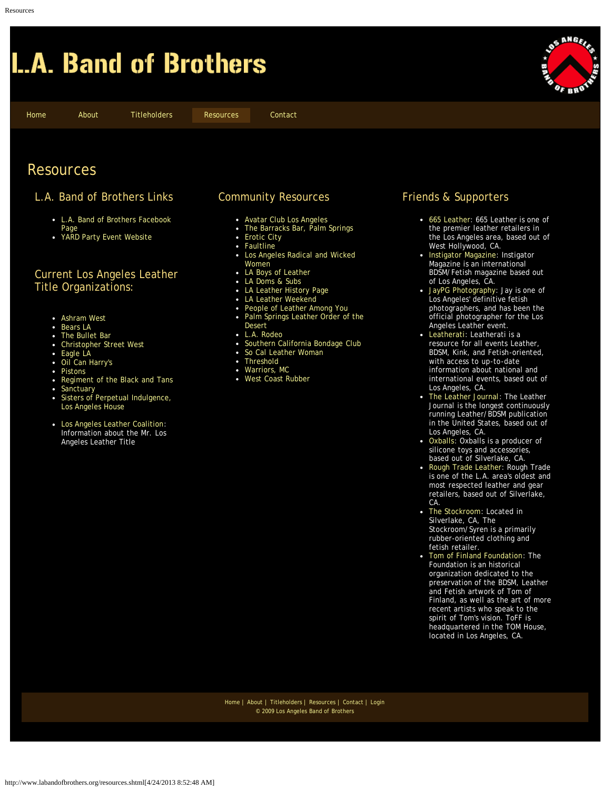

<span id="page-15-0"></span>[Home](#page-11-0) [About](#page-12-0) [Titleholders](#page-14-0) [Resources](#page-15-0) [Contact](#page-16-0)

# Resources

### L.A. Band of Brothers Links

- [L.A. Band of Brothers Facebook](http://www.facebook.com/?ref=home#!/pages/Los-Angeles-Band-Of-Brothers/140249382664080?ref=ts)
- [Page](http://www.facebook.com/?ref=home#!/pages/Los-Angeles-Band-Of-Brothers/140249382664080?ref=ts)
- [YARD Party Event Website](http://www.yardla.com/)

### Current Los Angeles Leather Title Organizations:

- [Ashram West](http://www.gaytantra.org/)
- [Bears LA](http://www.bearsla.org/)
- [The Bullet Bar](http://www.bulletbarnoho.com/)
- [Christopher Street West](http://lapride.org/)
- [Eagle LA](http://www.eaglela.com/)
- [Oil Can Harry's](http://www.oilcanharrysla.com/)
- [Pistons](http://www.pistonsbar.com/)
- [Regiment of the Black and Tans](http://www.blackandtans.org/)
- [Sanctuary](http://www.sanctuary-la.com/)
- [Sisters of Perpetual Indulgence,](http://www.lasisters.org/) [Los Angeles House](http://www.lasisters.org/)
- [Los Angeles Leather Coalition](http://www.lalc.info/): Information about the Mr. Los Angeles Leather Title

### Community Resources

- [Avatar Club Los Angeles](http://www.avatarla.org/)  $\bullet$
- [The Barracks Bar, Palm Springs](http://www.thebarracksbarps.com/)
- [Erotic City](http://www.lapride.org/eroticcity/)
- [Faultline](http://www.faultlinebar.com/)
- [Los Angeles Radical and Wicked](http://www.laraww.org/) **[Women](http://www.laraww.org/)**
- [LA Boys of Leather](http://www.labol.org/labol/Welcome.html)
- [LA Doms & Subs](http://www.lads-la.com/)
- [LA Leather History Page](http://laleatherhistory.weebly.com/)
- [LA Leather Weekend](http://www.laleatherweekend.com/)
- [People of Leather Among You](http://groups.yahoo.com/group/PlayLink/)
- [Palm Springs Leather Order of the](http://www.pslod.com/) [Desert](http://www.pslod.com/)
- [L.A. Rodeo](http://www.larodeo.com/)
- [Southern California Bondage Club](http://www.socabondage.com/)
- [So Cal Leather Woman](http://www.southerncalifornialeatherwoman.com/)
- [Threshold](http://www.threshold.org/)
- [Warriors, MC](http://www.warriorsmc.org/)
- [West Coast Rubber](http://www.westcoastrubber.com/)  $\bullet$

### Friends & Supporters

- [665 Leather](http://www.665leather.com/): 665 Leather is one of the premier leather retailers in the Los Angeles area, based out of West Hollywood, CA.
- [Instigator Magazine](http://www.instigatormagazine.com/): Instigator Magazine is an international BDSM/Fetish magazine based out of Los Angeles, CA.
- [JayPG Photography](http://www.jaypg.com/): Jay is one of Los Angeles' definitive fetish photographers, and has been the official photographer for the Los Angeles Leather event.
- [Leatherati](http://www.leatherati.com/): Leatherati is a resource for all events Leather, BDSM, Kink, and Fetish-oriented, with access to up-to-date information about national and international events, based out of Los Angeles, CA.
- [The Leather Journal](http://www.theleatherjournal.com/): The Leather Journal is the longest continuously running Leather/BDSM publication in the United States, based out of Los Angeles, CA.
- [Oxballs](http://www.oxballs.com/): Oxballs is a producer of  $\bullet$ silicone toys and accessories, based out of Silverlake, CA.
- [Rough Trade Leather:](http://www.roughtradegear.com/) Rough Trade is one of the L.A. area's oldest and most respected leather and gear retailers, based out of Silverlake, CA.
- $\bullet$ [The Stockroom](http://www.stockroom.com/home.aspx): Located in Silverlake, CA, The Stockroom/Syren is a primarily rubber-oriented clothing and fetish retailer.
- [Tom of Finland Foundation](http://www.tomoffinlandfoundation.org/): The Foundation is an historical organization dedicated to the preservation of the BDSM, Leather and Fetish artwork of Tom of Finland, as well as the art of more recent artists who speak to the spirit of Tom's vision. ToFF is headquartered in the TOM House, located in Los Angeles, CA.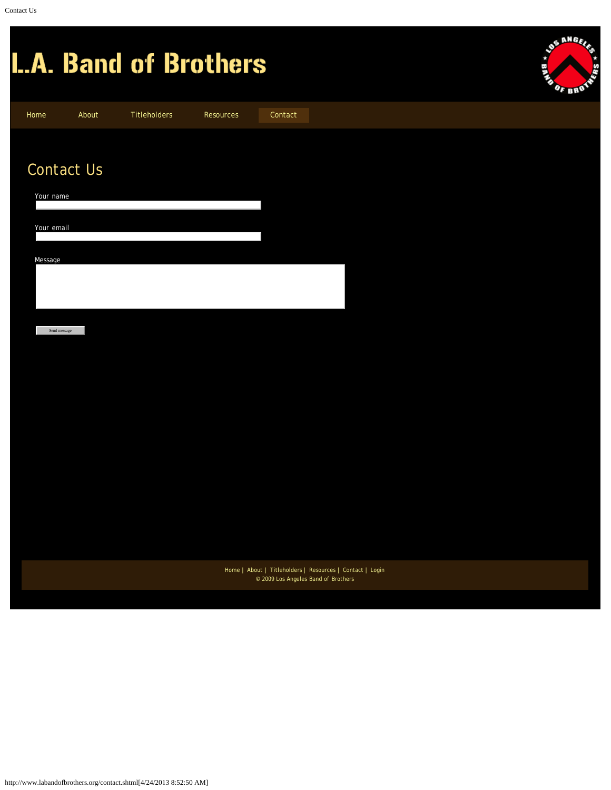<span id="page-16-0"></span>

|              |            | <b>L.A. Band of Brothers</b> |           |                                                                                                  |  | NOS ANGELIS<br>OF BRO |
|--------------|------------|------------------------------|-----------|--------------------------------------------------------------------------------------------------|--|-----------------------|
| Home         | About      | Titleholders                 | Resources | Contact                                                                                          |  |                       |
|              |            |                              |           |                                                                                                  |  |                       |
|              | Contact Us |                              |           |                                                                                                  |  |                       |
| Your name    |            |                              |           |                                                                                                  |  |                       |
| Your email   |            |                              |           |                                                                                                  |  |                       |
| Message      |            |                              |           |                                                                                                  |  |                       |
|              |            |                              |           |                                                                                                  |  |                       |
|              |            |                              |           |                                                                                                  |  |                       |
| Send message |            |                              |           |                                                                                                  |  |                       |
|              |            |                              |           |                                                                                                  |  |                       |
|              |            |                              |           |                                                                                                  |  |                       |
|              |            |                              |           |                                                                                                  |  |                       |
|              |            |                              |           |                                                                                                  |  |                       |
|              |            |                              |           |                                                                                                  |  |                       |
|              |            |                              |           |                                                                                                  |  |                       |
|              |            |                              |           |                                                                                                  |  |                       |
|              |            |                              |           | Home   About   Titleholders   Resources   Contact   Login<br>© 2009 Los Angeles Band of Brothers |  |                       |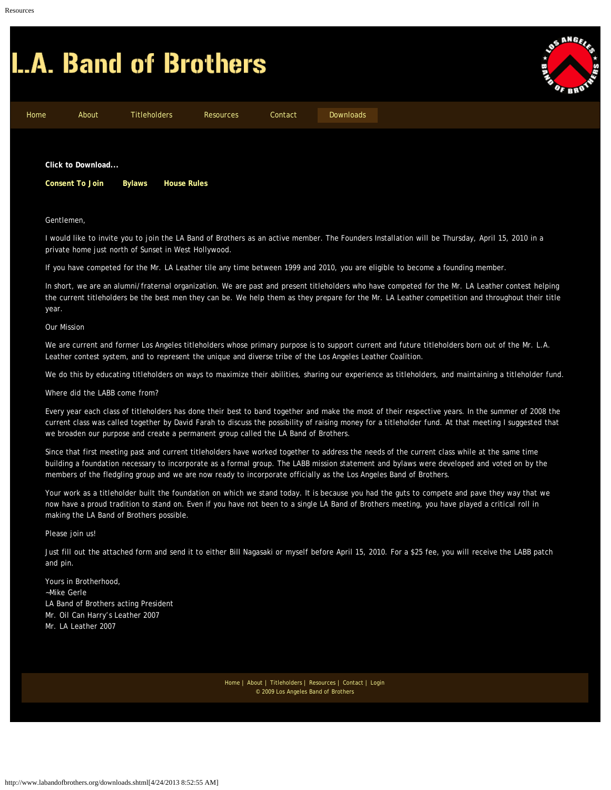

<span id="page-17-0"></span>[Home](#page-11-0) [About](#page-12-0) [Titleholders](#page-14-0) [Resources](#page-15-0) [Contact](#page-16-0) [Downloads](#page-17-0)

**Click to Download...**

**[Consent To Join](#page-19-0) [Bylaws](#page-20-0) [House Rules](#page-33-0)**

Gentlemen,

I would like to invite you to join the LA Band of Brothers as an active member. The Founders Installation will be Thursday, April 15, 2010 in a private home just north of Sunset in West Hollywood.

If you have competed for the Mr. LA Leather tile any time between 1999 and 2010, you are eligible to become a founding member.

In short, we are an alumni/fraternal organization. We are past and present titleholders who have competed for the Mr. LA Leather contest helping the current titleholders be the best men they can be. We help them as they prepare for the Mr. LA Leather competition and throughout their title year.

#### Our Mission

We are current and former Los Angeles titleholders whose primary purpose is to support current and future titleholders born out of the Mr. L.A. Leather contest system, and to represent the unique and diverse tribe of the Los Angeles Leather Coalition.

We do this by educating titleholders on ways to maximize their abilities, sharing our experience as titleholders, and maintaining a titleholder fund.

Where did the LABB come from?

Every year each class of titleholders has done their best to band together and make the most of their respective years. In the summer of 2008 the current class was called together by David Farah to discuss the possibility of raising money for a titleholder fund. At that meeting I suggested that we broaden our purpose and create a permanent group called the LA Band of Brothers.

Since that first meeting past and current titleholders have worked together to address the needs of the current class while at the same time building a foundation necessary to incorporate as a formal group. The LABB mission statement and bylaws were developed and voted on by the members of the fledgling group and we are now ready to incorporate officially as the Los Angeles Band of Brothers.

Your work as a titleholder built the foundation on which we stand today. It is because you had the guts to compete and pave they way that we now have a proud tradition to stand on. Even if you have not been to a single LA Band of Brothers meeting, you have played a critical roll in making the LA Band of Brothers possible.

#### Please join us!

Just fill out the attached form and send it to either Bill Nagasaki or myself before April 15, 2010. For a \$25 fee, you will receive the LABB patch and pin.

Yours in Brotherhood, ~Mike Gerle LA Band of Brothers acting President Mr. Oil Can Harry's Leather 2007 Mr. LA Leather 2007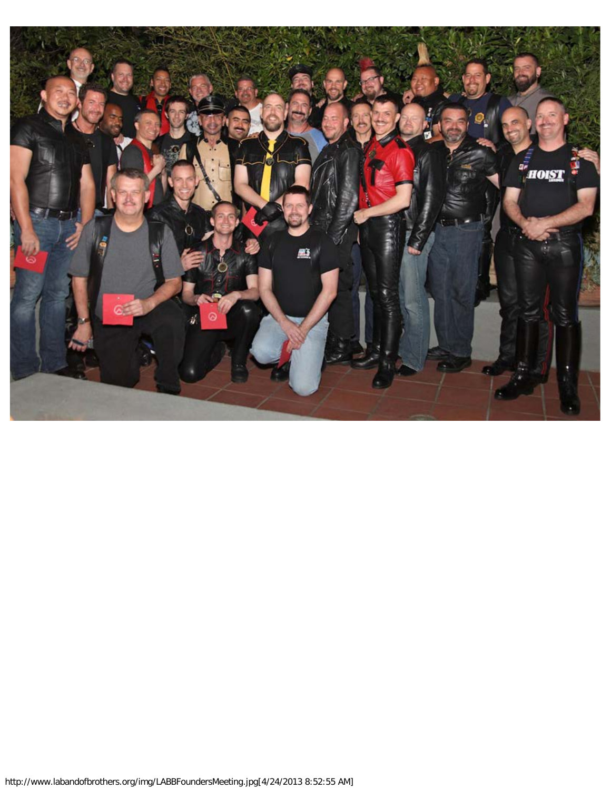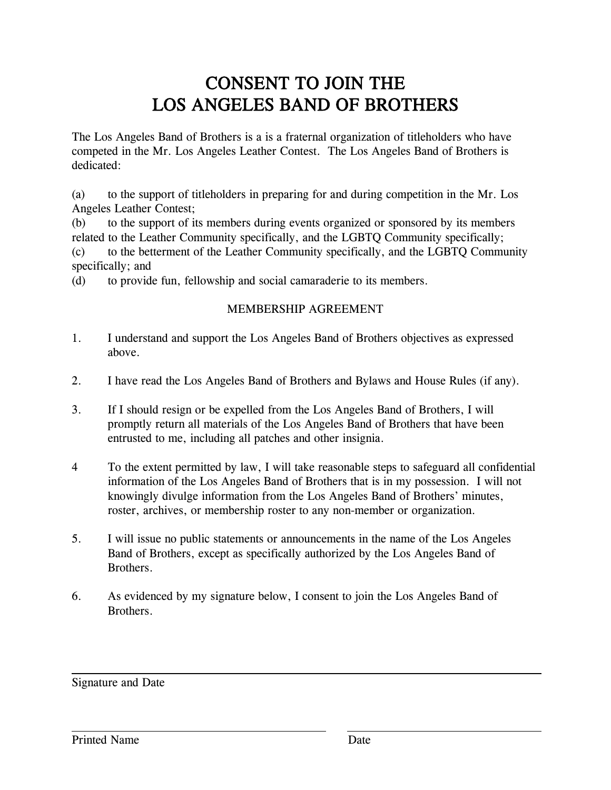# CONSENT TO JOIN THE LOS ANGELES BAND OF BROTHERS

<span id="page-19-0"></span>The Los Angeles Band of Brothers is a is a fraternal organization of titleholders who have competed in the Mr. Los Angeles Leather Contest. The Los Angeles Band of Brothers is dedicated:

(a) to the support of titleholders in preparing for and during competition in the Mr. Los Angeles Leather Contest;

(b) to the support of its members during events organized or sponsored by its members related to the Leather Community specifically, and the LGBTQ Community specifically; (c) to the betterment of the Leather Community specifically, and the LGBTQ Community specifically; and

(d) to provide fun, fellowship and social camaraderie to its members.

## MEMBERSHIP AGREEMENT

- 1. I understand and support the Los Angeles Band of Brothers objectives as expressed above.
- 2. I have read the Los Angeles Band of Brothers and Bylaws and House Rules (if any).
- 3. If I should resign or be expelled from the Los Angeles Band of Brothers, I will promptly return all materials of the Los Angeles Band of Brothers that have been entrusted to me, including all patches and other insignia.
- 4 To the extent permitted by law, I will take reasonable steps to safeguard all confidential information of the Los Angeles Band of Brothers that is in my possession. I will not knowingly divulge information from the Los Angeles Band of Brothers' minutes, roster, archives, or membership roster to any non-member or organization.
- 5. I will issue no public statements or announcements in the name of the Los Angeles Band of Brothers, except as specifically authorized by the Los Angeles Band of Brothers.
- 6. As evidenced by my signature below, I consent to join the Los Angeles Band of Brothers.

Signature and Date

 $\overline{a}$ 

 $\overline{a}$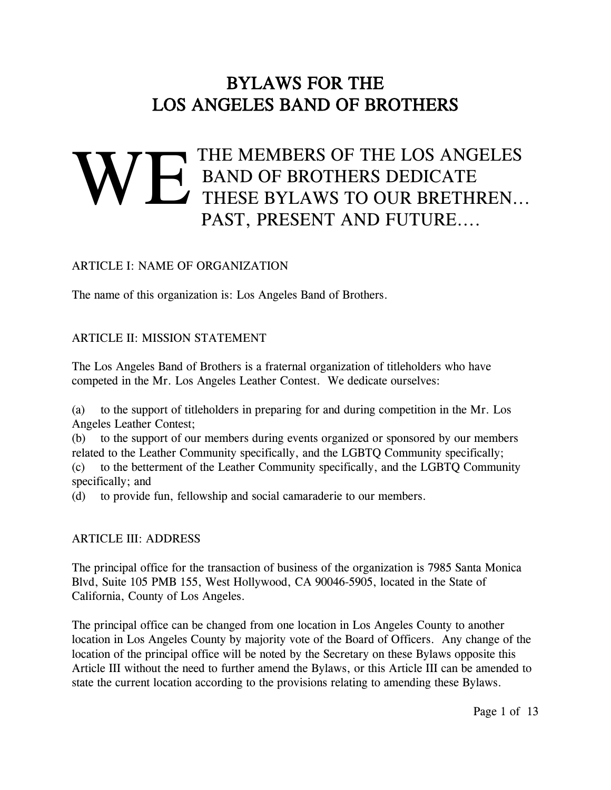# BYLAWS FOR THE LOS ANGELES BAND OF BROTHERS

# <span id="page-20-0"></span>WE THE MEMBERS OF THE LOS ANGELES BAND OF BROTHERS DEDICATE THESE BYLAWS TO OUR BRETHREN... PAST, PRESENT AND FUTURE....

## ARTICLE I: NAME OF ORGANIZATION

The name of this organization is: Los Angeles Band of Brothers.

## ARTICLE II: MISSION STATEMENT

The Los Angeles Band of Brothers is a fraternal organization of titleholders who have competed in the Mr. Los Angeles Leather Contest. We dedicate ourselves:

(a) to the support of titleholders in preparing for and during competition in the Mr. Los Angeles Leather Contest;

(b) to the support of our members during events organized or sponsored by our members related to the Leather Community specifically, and the LGBTQ Community specifically;

(c) to the betterment of the Leather Community specifically, and the LGBTQ Community specifically; and

(d) to provide fun, fellowship and social camaraderie to our members.

## ARTICLE III: ADDRESS

The principal office for the transaction of business of the organization is 7985 Santa Monica Blvd, Suite 105 PMB 155, West Hollywood, CA 90046-5905, located in the State of California, County of Los Angeles.

The principal office can be changed from one location in Los Angeles County to another location in Los Angeles County by majority vote of the Board of Officers. Any change of the location of the principal office will be noted by the Secretary on these Bylaws opposite this Article III without the need to further amend the Bylaws, or this Article III can be amended to state the current location according to the provisions relating to amending these Bylaws.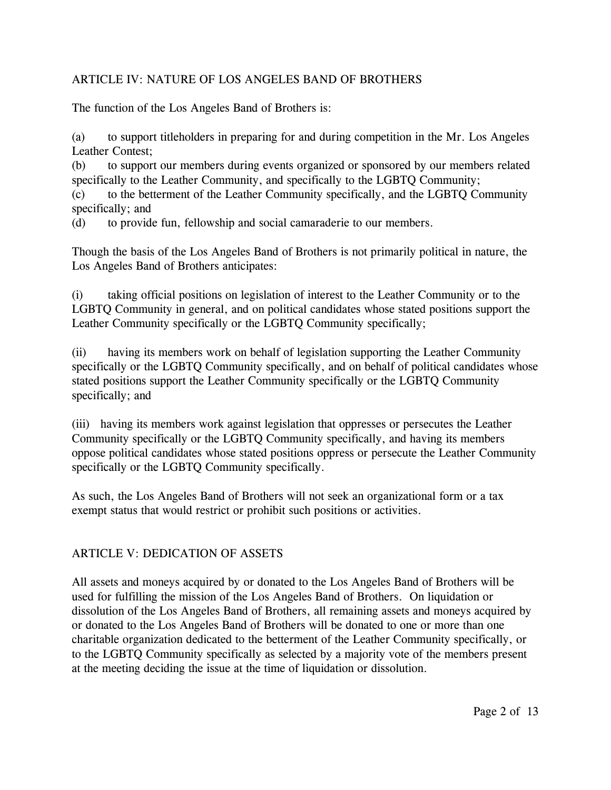## ARTICLE IV: NATURE OF LOS ANGELES BAND OF BROTHERS

The function of the Los Angeles Band of Brothers is:

(a) to support titleholders in preparing for and during competition in the Mr. Los Angeles Leather Contest;

(b) to support our members during events organized or sponsored by our members related specifically to the Leather Community, and specifically to the LGBTQ Community;

(c) to the betterment of the Leather Community specifically, and the LGBTQ Community specifically; and

(d) to provide fun, fellowship and social camaraderie to our members.

Though the basis of the Los Angeles Band of Brothers is not primarily political in nature, the Los Angeles Band of Brothers anticipates:

(i) taking official positions on legislation of interest to the Leather Community or to the LGBTQ Community in general, and on political candidates whose stated positions support the Leather Community specifically or the LGBTQ Community specifically;

(ii) having its members work on behalf of legislation supporting the Leather Community specifically or the LGBTQ Community specifically, and on behalf of political candidates whose stated positions support the Leather Community specifically or the LGBTQ Community specifically; and

(iii) having its members work against legislation that oppresses or persecutes the Leather Community specifically or the LGBTQ Community specifically, and having its members oppose political candidates whose stated positions oppress or persecute the Leather Community specifically or the LGBTQ Community specifically.

As such, the Los Angeles Band of Brothers will not seek an organizational form or a tax exempt status that would restrict or prohibit such positions or activities.

## ARTICLE V: DEDICATION OF ASSETS

All assets and moneys acquired by or donated to the Los Angeles Band of Brothers will be used for fulfilling the mission of the Los Angeles Band of Brothers. On liquidation or dissolution of the Los Angeles Band of Brothers, all remaining assets and moneys acquired by or donated to the Los Angeles Band of Brothers will be donated to one or more than one charitable organization dedicated to the betterment of the Leather Community specifically, or to the LGBTQ Community specifically as selected by a majority vote of the members present at the meeting deciding the issue at the time of liquidation or dissolution.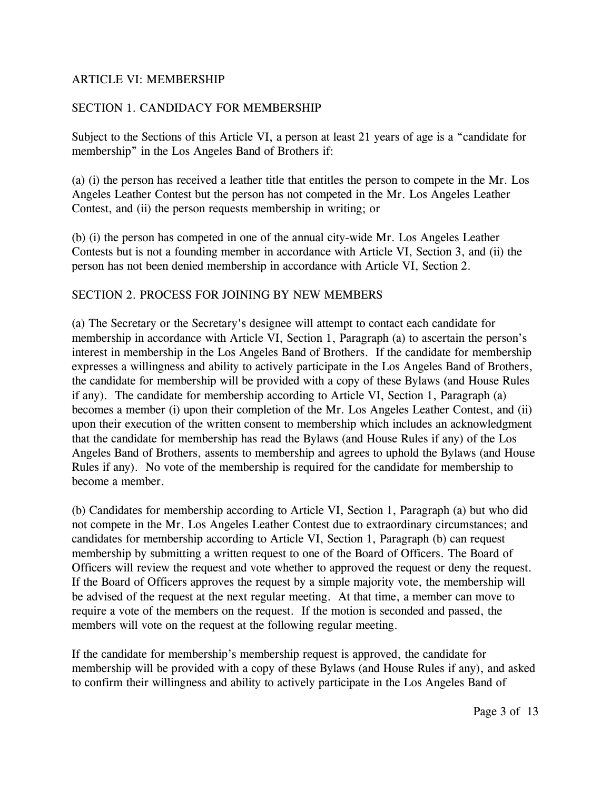### ARTICLE VI: MEMBERSHIP

### SECTION 1. CANDIDACY FOR MEMBERSHIP

Subject to the Sections of this Article VI, a person at least 21 years of age is a "candidate for membership" in the Los Angeles Band of Brothers if:

(a) (i) the person has received a leather title that entitles the person to compete in the Mr. Los Angeles Leather Contest but the person has not competed in the Mr. Los Angeles Leather Contest, and (ii) the person requests membership in writing; or

(b) (i) the person has competed in one of the annual city-wide Mr. Los Angeles Leather Contests but is not a founding member in accordance with Article VI, Section 3, and (ii) the person has not been denied membership in accordance with Article VI, Section 2.

### SECTION 2. PROCESS FOR JOINING BY NEW MEMBERS

(a) The Secretary or the Secretary's designee will attempt to contact each candidate for membership in accordance with Article VI, Section 1, Paragraph (a) to ascertain the person's interest in membership in the Los Angeles Band of Brothers. If the candidate for membership expresses a willingness and ability to actively participate in the Los Angeles Band of Brothers, the candidate for membership will be provided with a copy of these Bylaws (and House Rules if any). The candidate for membership according to Article VI, Section 1, Paragraph (a) becomes a member (i) upon their completion of the Mr. Los Angeles Leather Contest, and (ii) upon their execution of the written consent to membership which includes an acknowledgment that the candidate for membership has read the Bylaws (and House Rules if any) of the Los Angeles Band of Brothers, assents to membership and agrees to uphold the Bylaws (and House Rules if any). No vote of the membership is required for the candidate for membership to become a member.

(b) Candidates for membership according to Article VI, Section 1, Paragraph (a) but who did not compete in the Mr. Los Angeles Leather Contest due to extraordinary circumstances; and candidates for membership according to Article VI, Section 1, Paragraph (b) can request membership by submitting a written request to one of the Board of Officers. The Board of Officers will review the request and vote whether to approved the request or deny the request. If the Board of Officers approves the request by a simple majority vote, the membership will be advised of the request at the next regular meeting. At that time, a member can move to require a vote of the members on the request. If the motion is seconded and passed, the members will vote on the request at the following regular meeting.

If the candidate for membership's membership request is approved, the candidate for membership will be provided with a copy of these Bylaws (and House Rules if any), and asked to confirm their willingness and ability to actively participate in the Los Angeles Band of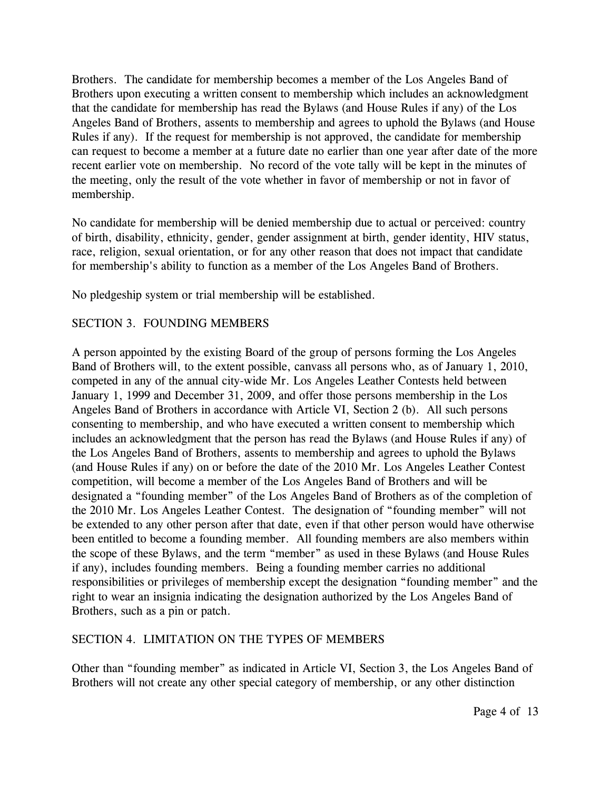Brothers. The candidate for membership becomes a member of the Los Angeles Band of Brothers upon executing a written consent to membership which includes an acknowledgment that the candidate for membership has read the Bylaws (and House Rules if any) of the Los Angeles Band of Brothers, assents to membership and agrees to uphold the Bylaws (and House Rules if any). If the request for membership is not approved, the candidate for membership can request to become a member at a future date no earlier than one year after date of the more recent earlier vote on membership. No record of the vote tally will be kept in the minutes of the meeting, only the result of the vote whether in favor of membership or not in favor of membership.

No candidate for membership will be denied membership due to actual or perceived: country of birth, disability, ethnicity, gender, gender assignment at birth, gender identity, HIV status, race, religion, sexual orientation, or for any other reason that does not impact that candidate for membership's ability to function as a member of the Los Angeles Band of Brothers.

No pledgeship system or trial membership will be established.

## SECTION 3. FOUNDING MEMBERS

A person appointed by the existing Board of the group of persons forming the Los Angeles Band of Brothers will, to the extent possible, canvass all persons who, as of January 1, 2010, competed in any of the annual city-wide Mr. Los Angeles Leather Contests held between January 1, 1999 and December 31, 2009, and offer those persons membership in the Los Angeles Band of Brothers in accordance with Article VI, Section 2 (b). All such persons consenting to membership, and who have executed a written consent to membership which includes an acknowledgment that the person has read the Bylaws (and House Rules if any) of the Los Angeles Band of Brothers, assents to membership and agrees to uphold the Bylaws (and House Rules if any) on or before the date of the 2010 Mr. Los Angeles Leather Contest competition, will become a member of the Los Angeles Band of Brothers and will be designated a "founding member" of the Los Angeles Band of Brothers as of the completion of the 2010 Mr. Los Angeles Leather Contest. The designation of "founding member" will not be extended to any other person after that date, even if that other person would have otherwise been entitled to become a founding member. All founding members are also members within the scope of these Bylaws, and the term "member" as used in these Bylaws (and House Rules if any), includes founding members. Being a founding member carries no additional responsibilities or privileges of membership except the designation "founding member" and the right to wear an insignia indicating the designation authorized by the Los Angeles Band of Brothers, such as a pin or patch.

## SECTION 4. LIMITATION ON THE TYPES OF MEMBERS

Other than "founding member" as indicated in Article VI, Section 3, the Los Angeles Band of Brothers will not create any other special category of membership, or any other distinction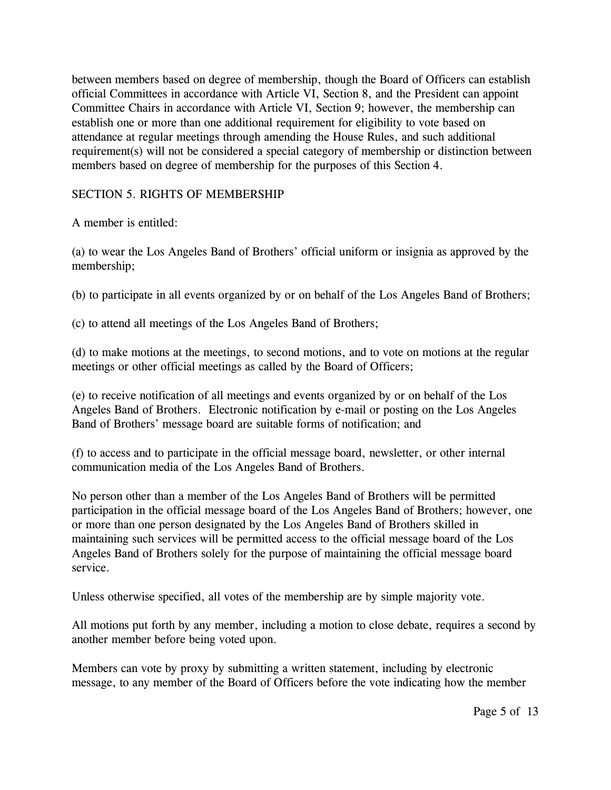between members based on degree of membership, though the Board of Officers can establish official Committees in accordance with Article VI, Section 8, and the President can appoint Committee Chairs in accordance with Article VI, Section 9; however, the membership can establish one or more than one additional requirement for eligibility to vote based on attendance at regular meetings through amending the House Rules, and such additional requirement(s) will not be considered a special category of membership or distinction between members based on degree of membership for the purposes of this Section 4.

## SECTION 5. RIGHTS OF MEMBERSHIP

A member is entitled:

(a) to wear the Los Angeles Band of Brothers' official uniform or insignia as approved by the membership;

(b) to participate in all events organized by or on behalf of the Los Angeles Band of Brothers;

(c) to attend all meetings of the Los Angeles Band of Brothers;

(d) to make motions at the meetings, to second motions, and to vote on motions at the regular meetings or other official meetings as called by the Board of Officers;

(e) to receive notification of all meetings and events organized by or on behalf of the Los Angeles Band of Brothers. Electronic notification by e-mail or posting on the Los Angeles Band of Brothers' message board are suitable forms of notification; and

(f) to access and to participate in the official message board, newsletter, or other internal communication media of the Los Angeles Band of Brothers.

No person other than a member of the Los Angeles Band of Brothers will be permitted participation in the official message board of the Los Angeles Band of Brothers; however, one or more than one person designated by the Los Angeles Band of Brothers skilled in maintaining such services will be permitted access to the official message board of the Los Angeles Band of Brothers solely for the purpose of maintaining the official message board service.

Unless otherwise specified, all votes of the membership are by simple majority vote.

All motions put forth by any member, including a motion to close debate, requires a second by another member before being voted upon.

Members can vote by proxy by submitting a written statement, including by electronic message, to any member of the Board of Officers before the vote indicating how the member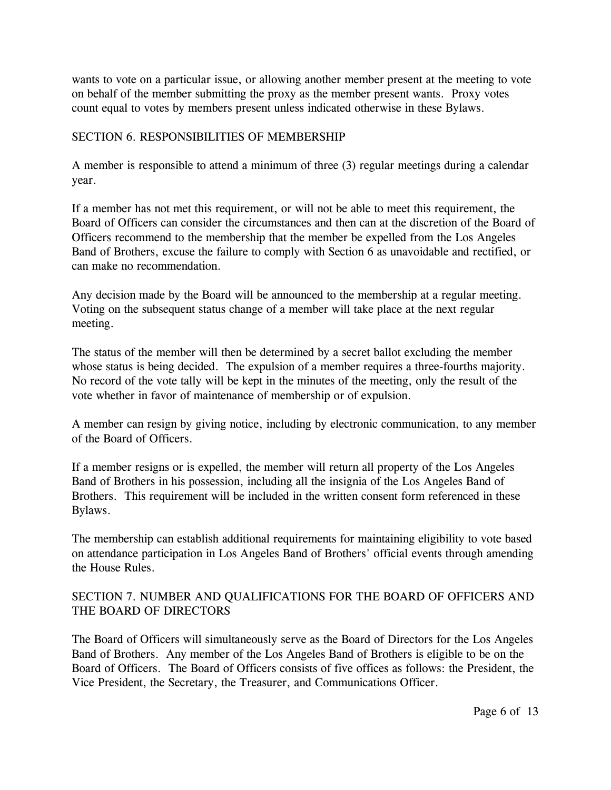wants to vote on a particular issue, or allowing another member present at the meeting to vote on behalf of the member submitting the proxy as the member present wants. Proxy votes count equal to votes by members present unless indicated otherwise in these Bylaws.

### SECTION 6. RESPONSIBILITIES OF MEMBERSHIP

A member is responsible to attend a minimum of three (3) regular meetings during a calendar year.

If a member has not met this requirement, or will not be able to meet this requirement, the Board of Officers can consider the circumstances and then can at the discretion of the Board of Officers recommend to the membership that the member be expelled from the Los Angeles Band of Brothers, excuse the failure to comply with Section 6 as unavoidable and rectified, or can make no recommendation.

Any decision made by the Board will be announced to the membership at a regular meeting. Voting on the subsequent status change of a member will take place at the next regular meeting.

The status of the member will then be determined by a secret ballot excluding the member whose status is being decided. The expulsion of a member requires a three-fourths majority. No record of the vote tally will be kept in the minutes of the meeting, only the result of the vote whether in favor of maintenance of membership or of expulsion.

A member can resign by giving notice, including by electronic communication, to any member of the Board of Officers.

If a member resigns or is expelled, the member will return all property of the Los Angeles Band of Brothers in his possession, including all the insignia of the Los Angeles Band of Brothers. This requirement will be included in the written consent form referenced in these Bylaws.

The membership can establish additional requirements for maintaining eligibility to vote based on attendance participation in Los Angeles Band of Brothers' official events through amending the House Rules.

## SECTION 7. NUMBER AND QUALIFICATIONS FOR THE BOARD OF OFFICERS AND THE BOARD OF DIRECTORS

The Board of Officers will simultaneously serve as the Board of Directors for the Los Angeles Band of Brothers. Any member of the Los Angeles Band of Brothers is eligible to be on the Board of Officers. The Board of Officers consists of five offices as follows: the President, the Vice President, the Secretary, the Treasurer, and Communications Officer.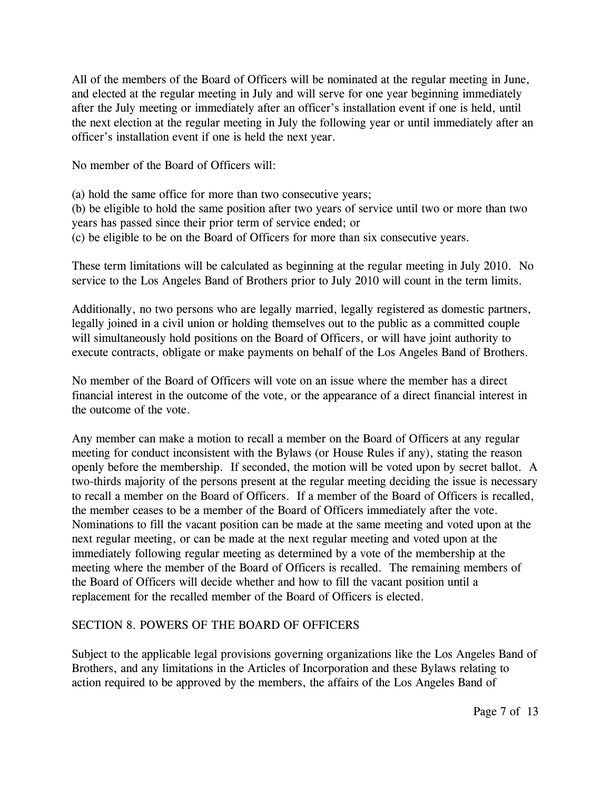All of the members of the Board of Officers will be nominated at the regular meeting in June, and elected at the regular meeting in July and will serve for one year beginning immediately after the July meeting or immediately after an officer's installation event if one is held, until the next election at the regular meeting in July the following year or until immediately after an officer's installation event if one is held the next year.

No member of the Board of Officers will:

- (a) hold the same office for more than two consecutive years;
- (b) be eligible to hold the same position after two years of service until two or more than two years has passed since their prior term of service ended; or
- (c) be eligible to be on the Board of Officers for more than six consecutive years.

These term limitations will be calculated as beginning at the regular meeting in July 2010. No service to the Los Angeles Band of Brothers prior to July 2010 will count in the term limits.

Additionally, no two persons who are legally married, legally registered as domestic partners, legally joined in a civil union or holding themselves out to the public as a committed couple will simultaneously hold positions on the Board of Officers, or will have joint authority to execute contracts, obligate or make payments on behalf of the Los Angeles Band of Brothers.

No member of the Board of Officers will vote on an issue where the member has a direct financial interest in the outcome of the vote, or the appearance of a direct financial interest in the outcome of the vote.

Any member can make a motion to recall a member on the Board of Officers at any regular meeting for conduct inconsistent with the Bylaws (or House Rules if any), stating the reason openly before the membership. If seconded, the motion will be voted upon by secret ballot. A two-thirds majority of the persons present at the regular meeting deciding the issue is necessary to recall a member on the Board of Officers. If a member of the Board of Officers is recalled, the member ceases to be a member of the Board of Officers immediately after the vote. Nominations to fill the vacant position can be made at the same meeting and voted upon at the next regular meeting, or can be made at the next regular meeting and voted upon at the immediately following regular meeting as determined by a vote of the membership at the meeting where the member of the Board of Officers is recalled. The remaining members of the Board of Officers will decide whether and how to fill the vacant position until a replacement for the recalled member of the Board of Officers is elected.

## SECTION 8. POWERS OF THE BOARD OF OFFICERS

Subject to the applicable legal provisions governing organizations like the Los Angeles Band of Brothers, and any limitations in the Articles of Incorporation and these Bylaws relating to action required to be approved by the members, the affairs of the Los Angeles Band of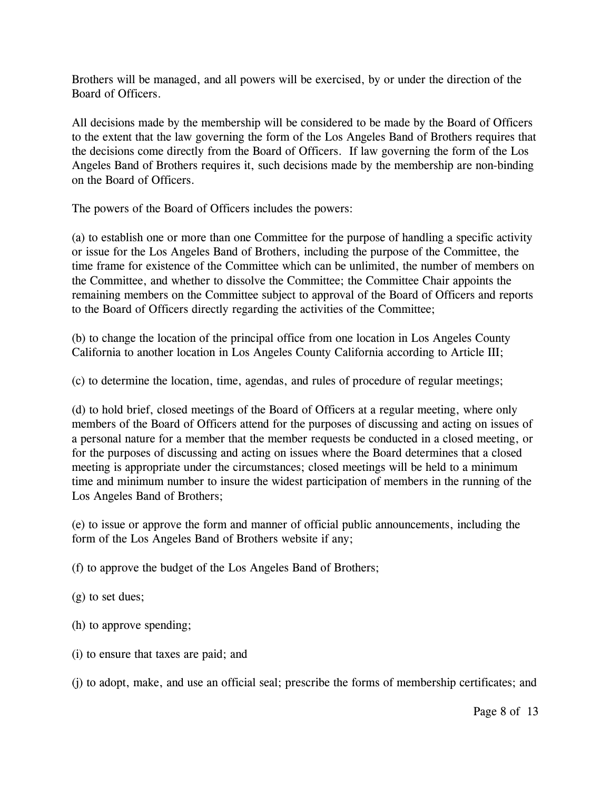Brothers will be managed, and all powers will be exercised, by or under the direction of the Board of Officers.

All decisions made by the membership will be considered to be made by the Board of Officers to the extent that the law governing the form of the Los Angeles Band of Brothers requires that the decisions come directly from the Board of Officers. If law governing the form of the Los Angeles Band of Brothers requires it, such decisions made by the membership are non-binding on the Board of Officers.

The powers of the Board of Officers includes the powers:

(a) to establish one or more than one Committee for the purpose of handling a specific activity or issue for the Los Angeles Band of Brothers, including the purpose of the Committee, the time frame for existence of the Committee which can be unlimited, the number of members on the Committee, and whether to dissolve the Committee; the Committee Chair appoints the remaining members on the Committee subject to approval of the Board of Officers and reports to the Board of Officers directly regarding the activities of the Committee;

(b) to change the location of the principal office from one location in Los Angeles County California to another location in Los Angeles County California according to Article III;

(c) to determine the location, time, agendas, and rules of procedure of regular meetings;

(d) to hold brief, closed meetings of the Board of Officers at a regular meeting, where only members of the Board of Officers attend for the purposes of discussing and acting on issues of a personal nature for a member that the member requests be conducted in a closed meeting, or for the purposes of discussing and acting on issues where the Board determines that a closed meeting is appropriate under the circumstances; closed meetings will be held to a minimum time and minimum number to insure the widest participation of members in the running of the Los Angeles Band of Brothers;

(e) to issue or approve the form and manner of official public announcements, including the form of the Los Angeles Band of Brothers website if any;

(f) to approve the budget of the Los Angeles Band of Brothers;

(g) to set dues;

(h) to approve spending;

(i) to ensure that taxes are paid; and

(j) to adopt, make, and use an official seal; prescribe the forms of membership certificates; and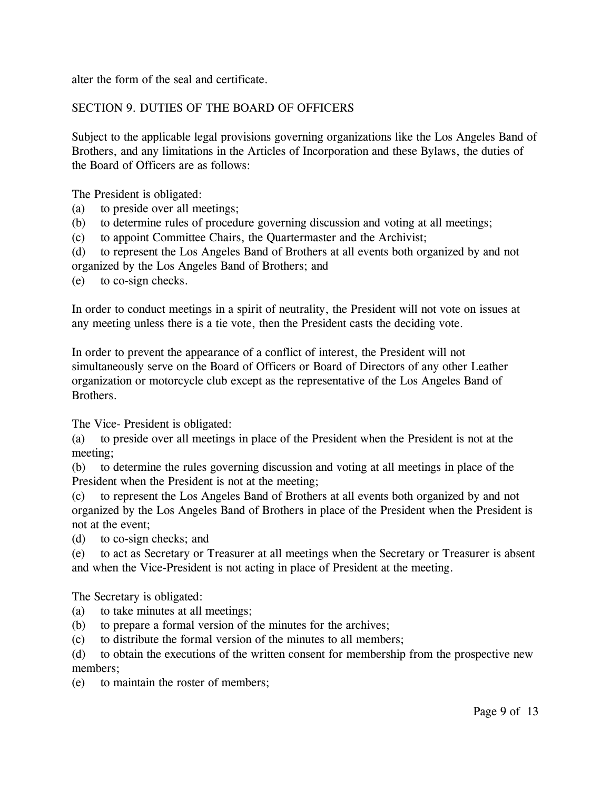alter the form of the seal and certificate.

## SECTION 9. DUTIES OF THE BOARD OF OFFICERS

Subject to the applicable legal provisions governing organizations like the Los Angeles Band of Brothers, and any limitations in the Articles of Incorporation and these Bylaws, the duties of the Board of Officers are as follows:

The President is obligated:

- (a) to preside over all meetings;
- (b) to determine rules of procedure governing discussion and voting at all meetings;
- (c) to appoint Committee Chairs, the Quartermaster and the Archivist;

(d) to represent the Los Angeles Band of Brothers at all events both organized by and not organized by the Los Angeles Band of Brothers; and

(e) to co-sign checks.

In order to conduct meetings in a spirit of neutrality, the President will not vote on issues at any meeting unless there is a tie vote, then the President casts the deciding vote.

In order to prevent the appearance of a conflict of interest, the President will not simultaneously serve on the Board of Officers or Board of Directors of any other Leather organization or motorcycle club except as the representative of the Los Angeles Band of Brothers.

The Vice- President is obligated:

(a) to preside over all meetings in place of the President when the President is not at the meeting;

(b) to determine the rules governing discussion and voting at all meetings in place of the President when the President is not at the meeting;

(c) to represent the Los Angeles Band of Brothers at all events both organized by and not organized by the Los Angeles Band of Brothers in place of the President when the President is not at the event;

(d) to co-sign checks; and

(e) to act as Secretary or Treasurer at all meetings when the Secretary or Treasurer is absent and when the Vice-President is not acting in place of President at the meeting.

The Secretary is obligated:

- (a) to take minutes at all meetings;
- (b) to prepare a formal version of the minutes for the archives;
- (c) to distribute the formal version of the minutes to all members;

(d) to obtain the executions of the written consent for membership from the prospective new members;

(e) to maintain the roster of members;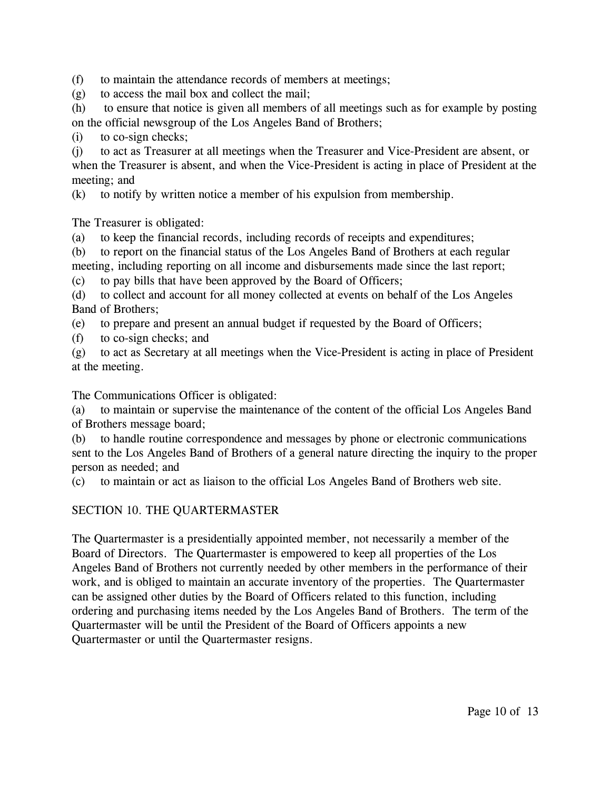(f) to maintain the attendance records of members at meetings;

(g) to access the mail box and collect the mail;

(h) to ensure that notice is given all members of all meetings such as for example by posting on the official newsgroup of the Los Angeles Band of Brothers;

(i) to co-sign checks;

(j) to act as Treasurer at all meetings when the Treasurer and Vice-President are absent, or when the Treasurer is absent, and when the Vice-President is acting in place of President at the meeting; and

(k) to notify by written notice a member of his expulsion from membership.

The Treasurer is obligated:

(a) to keep the financial records, including records of receipts and expenditures;

(b) to report on the financial status of the Los Angeles Band of Brothers at each regular

meeting, including reporting on all income and disbursements made since the last report;

(c) to pay bills that have been approved by the Board of Officers;

(d) to collect and account for all money collected at events on behalf of the Los Angeles Band of Brothers;

(e) to prepare and present an annual budget if requested by the Board of Officers;

(f) to co-sign checks; and

(g) to act as Secretary at all meetings when the Vice-President is acting in place of President at the meeting.

The Communications Officer is obligated:

(a) to maintain or supervise the maintenance of the content of the official Los Angeles Band of Brothers message board;

(b) to handle routine correspondence and messages by phone or electronic communications sent to the Los Angeles Band of Brothers of a general nature directing the inquiry to the proper person as needed; and

(c) to maintain or act as liaison to the official Los Angeles Band of Brothers web site.

## SECTION 10. THE QUARTERMASTER

The Quartermaster is a presidentially appointed member, not necessarily a member of the Board of Directors. The Quartermaster is empowered to keep all properties of the Los Angeles Band of Brothers not currently needed by other members in the performance of their work, and is obliged to maintain an accurate inventory of the properties. The Quartermaster can be assigned other duties by the Board of Officers related to this function, including ordering and purchasing items needed by the Los Angeles Band of Brothers. The term of the Quartermaster will be until the President of the Board of Officers appoints a new Quartermaster or until the Quartermaster resigns.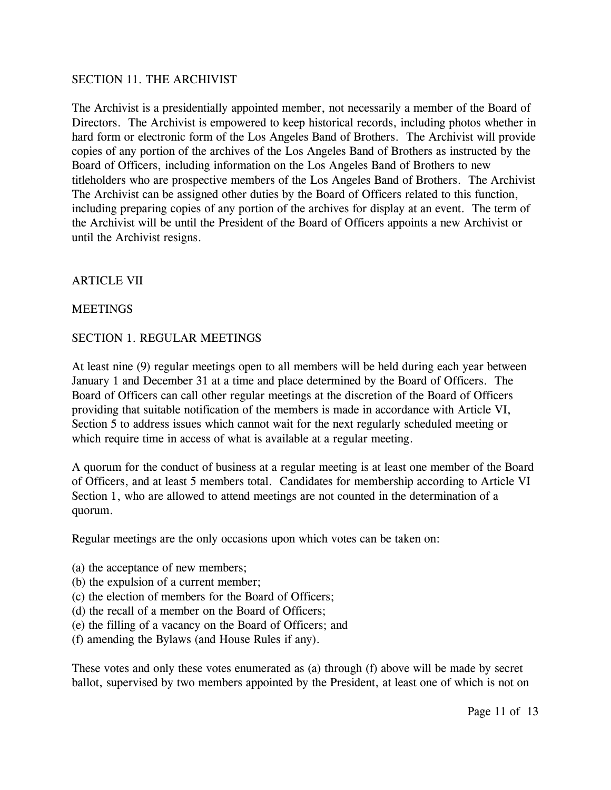## SECTION 11. THE ARCHIVIST

The Archivist is a presidentially appointed member, not necessarily a member of the Board of Directors. The Archivist is empowered to keep historical records, including photos whether in hard form or electronic form of the Los Angeles Band of Brothers. The Archivist will provide copies of any portion of the archives of the Los Angeles Band of Brothers as instructed by the Board of Officers, including information on the Los Angeles Band of Brothers to new titleholders who are prospective members of the Los Angeles Band of Brothers. The Archivist The Archivist can be assigned other duties by the Board of Officers related to this function, including preparing copies of any portion of the archives for display at an event. The term of the Archivist will be until the President of the Board of Officers appoints a new Archivist or until the Archivist resigns.

### ARTICLE VII

### MEETINGS

### SECTION 1. REGULAR MEETINGS

At least nine (9) regular meetings open to all members will be held during each year between January 1 and December 31 at a time and place determined by the Board of Officers. The Board of Officers can call other regular meetings at the discretion of the Board of Officers providing that suitable notification of the members is made in accordance with Article VI, Section 5 to address issues which cannot wait for the next regularly scheduled meeting or which require time in access of what is available at a regular meeting.

A quorum for the conduct of business at a regular meeting is at least one member of the Board of Officers, and at least 5 members total. Candidates for membership according to Article VI Section 1, who are allowed to attend meetings are not counted in the determination of a quorum.

Regular meetings are the only occasions upon which votes can be taken on:

- (a) the acceptance of new members;
- (b) the expulsion of a current member;
- (c) the election of members for the Board of Officers;
- (d) the recall of a member on the Board of Officers;
- (e) the filling of a vacancy on the Board of Officers; and
- (f) amending the Bylaws (and House Rules if any).

These votes and only these votes enumerated as (a) through (f) above will be made by secret ballot, supervised by two members appointed by the President, at least one of which is not on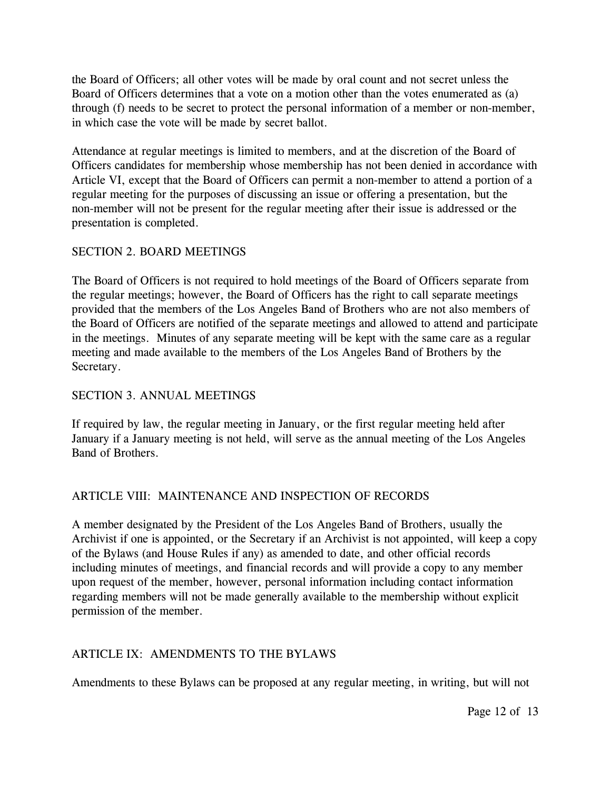the Board of Officers; all other votes will be made by oral count and not secret unless the Board of Officers determines that a vote on a motion other than the votes enumerated as (a) through (f) needs to be secret to protect the personal information of a member or non-member, in which case the vote will be made by secret ballot.

Attendance at regular meetings is limited to members, and at the discretion of the Board of Officers candidates for membership whose membership has not been denied in accordance with Article VI, except that the Board of Officers can permit a non-member to attend a portion of a regular meeting for the purposes of discussing an issue or offering a presentation, but the non-member will not be present for the regular meeting after their issue is addressed or the presentation is completed.

## SECTION 2. BOARD MEETINGS

The Board of Officers is not required to hold meetings of the Board of Officers separate from the regular meetings; however, the Board of Officers has the right to call separate meetings provided that the members of the Los Angeles Band of Brothers who are not also members of the Board of Officers are notified of the separate meetings and allowed to attend and participate in the meetings. Minutes of any separate meeting will be kept with the same care as a regular meeting and made available to the members of the Los Angeles Band of Brothers by the Secretary.

## SECTION 3. ANNUAL MEETINGS

If required by law, the regular meeting in January, or the first regular meeting held after January if a January meeting is not held, will serve as the annual meeting of the Los Angeles Band of Brothers.

## ARTICLE VIII: MAINTENANCE AND INSPECTION OF RECORDS

A member designated by the President of the Los Angeles Band of Brothers, usually the Archivist if one is appointed, or the Secretary if an Archivist is not appointed, will keep a copy of the Bylaws (and House Rules if any) as amended to date, and other official records including minutes of meetings, and financial records and will provide a copy to any member upon request of the member, however, personal information including contact information regarding members will not be made generally available to the membership without explicit permission of the member.

## ARTICLE IX: AMENDMENTS TO THE BYLAWS

Amendments to these Bylaws can be proposed at any regular meeting, in writing, but will not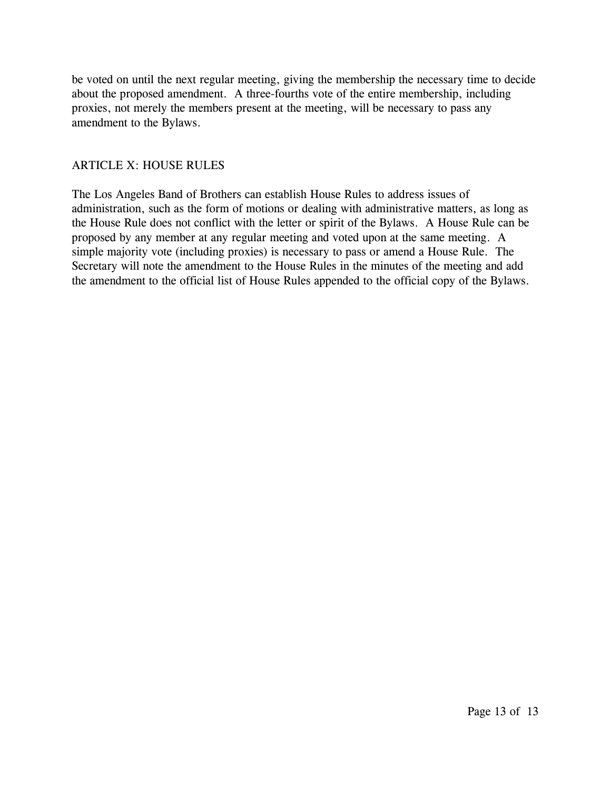be voted on until the next regular meeting, giving the membership the necessary time to decide about the proposed amendment. A three-fourths vote of the entire membership, including proxies, not merely the members present at the meeting, will be necessary to pass any amendment to the Bylaws.

### ARTICLE X: HOUSE RULES

The Los Angeles Band of Brothers can establish House Rules to address issues of administration, such as the form of motions or dealing with administrative matters, as long as the House Rule does not conflict with the letter or spirit of the Bylaws. A House Rule can be proposed by any member at any regular meeting and voted upon at the same meeting. A simple majority vote (including proxies) is necessary to pass or amend a House Rule. The Secretary will note the amendment to the House Rules in the minutes of the meeting and add the amendment to the official list of House Rules appended to the official copy of the Bylaws.